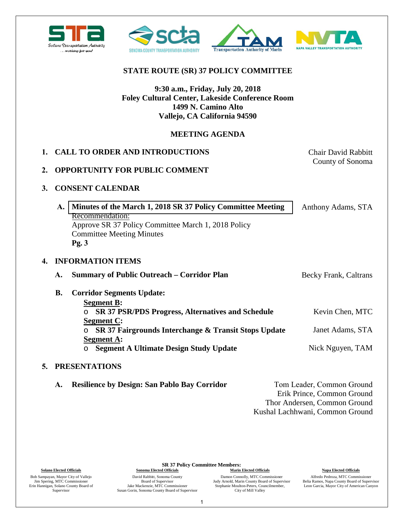



## **STATE ROUTE (SR) 37 POLICY COMMITTEE**

## **9:30 a.m., Friday, July 20, 2018 Foley Cultural Center, Lakeside Conference Room 1499 N. Camino Alto Vallejo, CA California 94590**

## **MEETING AGENDA**

|    | 1. CALL TO ORDER AND INTRODUCTIONS                                                                                                                                                   | <b>Chair David Rabbitt</b> |  |
|----|--------------------------------------------------------------------------------------------------------------------------------------------------------------------------------------|----------------------------|--|
| 2. | <b>OPPORTUNITY FOR PUBLIC COMMENT</b>                                                                                                                                                | County of Sonoma           |  |
| 3. | <b>CONSENT CALENDAR</b>                                                                                                                                                              |                            |  |
|    | A. Minutes of the March 1, 2018 SR 37 Policy Committee Meeting<br>Recommendation:<br>Approve SR 37 Policy Committee March 1, 2018 Policy<br><b>Committee Meeting Minutes</b><br>Pg.3 | Anthony Adams, STA         |  |
| 4. | <b>INFORMATION ITEMS</b>                                                                                                                                                             |                            |  |
|    | <b>Summary of Public Outreach – Corridor Plan</b><br>A.                                                                                                                              | Becky Frank, Caltrans      |  |
|    | <b>B.</b><br><b>Corridor Segments Update:</b><br><b>Segment B:</b>                                                                                                                   |                            |  |
|    | <b>SR 37 PSR/PDS Progress, Alternatives and Schedule</b><br>$\circ$                                                                                                                  | Kevin Chen, MTC            |  |
|    | <b>Segment C:</b><br>SR 37 Fairgrounds Interchange & Transit Stops Update<br>$\circ$<br><b>Segment A:</b>                                                                            | Janet Adams, STA           |  |
|    | <b>Segment A Ultimate Design Study Update</b><br>$\circ$                                                                                                                             | Nick Nguyen, TAM           |  |
|    | 5. PRESENTATIONS                                                                                                                                                                     |                            |  |

### **A. Resilience by Design: San Pablo Bay Corridor** Tom Leader, Common Ground Erik Prince, Common Ground Thor Andersen, Common Ground Kushal Lachhwani, Common Ground

Bob Sampayan, Mayor City of Vallejo Jim Spering, MTC Commissioner Erin Hannigan, Solano County Board of Supervisor

**SR 37 Policy Committee Members:**

David Rabbitt, Sonoma County Board of Supervisor Jake Mackenzie, MTC Commissioner Susan Gorin, Sonoma County Board of Supervisor Damon Connolly, MTC Commissioner Judy Arnold, Marin County Board of Supervisor Stephanie Moulton-Peters, Councilmember, City of Mill Valley

#### **Solano Elected Officials Sonoma Elected Officials Marin Elected Officials Marin Elected Officials Napa Elected Officials**

Alfredo Pedroza, MTC Commissioner Belia Ramos, Napa County Board of Supervisor Leon Garcia, Mayor City of American Canyon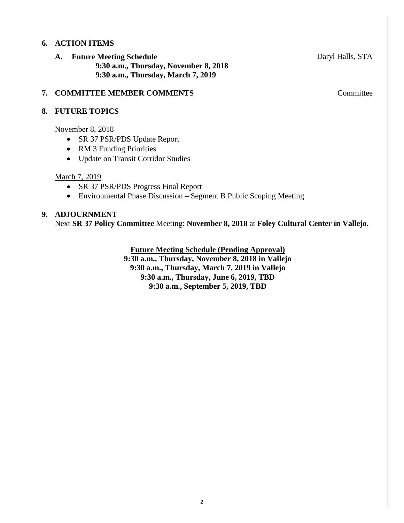## **6. ACTION ITEMS**

**A. Future Meeting Schedule 9:30 a.m., Thursday, November 8, 2018 9:30 a.m., Thursday, March 7, 2019** 

### **7. COMMITTEE MEMBER COMMENTS** Committee

### **8. FUTURE TOPICS**

November 8, 2018

- SR 37 PSR/PDS Update Report
- RM 3 Funding Priorities
- Update on Transit Corridor Studies

### March 7, 2019

- SR 37 PSR/PDS Progress Final Report
- Environmental Phase Discussion Segment B Public Scoping Meeting

### **9. ADJOURNMENT**

Next **SR 37 Policy Committee** Meeting: **November 8, 2018** at **Foley Cultural Center in Vallejo**.

**Future Meeting Schedule (Pending Approval)**

**9:30 a.m., Thursday, November 8, 2018 in Vallejo 9:30 a.m., Thursday, March 7, 2019 in Vallejo 9:30 a.m., Thursday, June 6, 2019, TBD 9:30 a.m., September 5, 2019, TBD**

Daryl Halls, STA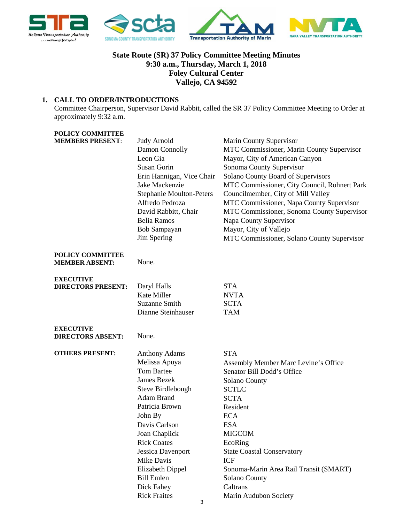<span id="page-2-0"></span>

## **State Route (SR) 37 Policy Committee Meeting Minutes 9:30 a.m., Thursday, March 1, 2018 Foley Cultural Center Vallejo, CA 94592**

### **1. CALL TO ORDER/INTRODUCTIONS**

Committee Chairperson, Supervisor David Rabbit, called the SR 37 Policy Committee Meeting to Order at approximately 9:32 a.m.

| <b>POLICY COMMITTEE</b>   |                                   |                                              |
|---------------------------|-----------------------------------|----------------------------------------------|
| <b>MEMBERS PRESENT:</b>   | <b>Judy Arnold</b>                | <b>Marin County Supervisor</b>               |
|                           | Damon Connolly                    | MTC Commissioner, Marin County Supervisor    |
|                           | Leon Gia                          | Mayor, City of American Canyon               |
|                           | <b>Susan Gorin</b>                | Sonoma County Supervisor                     |
|                           | Erin Hannigan, Vice Chair         | Solano County Board of Supervisors           |
|                           | Jake Mackenzie                    | MTC Commissioner, City Council, Rohnert Park |
|                           | <b>Stephanie Moulton-Peters</b>   | Councilmember, City of Mill Valley           |
|                           | Alfredo Pedroza                   | MTC Commissioner, Napa County Supervisor     |
|                           | David Rabbitt, Chair              | MTC Commissioner, Sonoma County Supervisor   |
|                           | <b>Belia Ramos</b>                | Napa County Supervisor                       |
|                           | Bob Sampayan                      | Mayor, City of Vallejo                       |
|                           | Jim Spering                       | MTC Commissioner, Solano County Supervisor   |
| POLICY COMMITTEE          |                                   |                                              |
| <b>MEMBER ABSENT:</b>     | None.                             |                                              |
| <b>EXECUTIVE</b>          |                                   |                                              |
| <b>DIRECTORS PRESENT:</b> | Daryl Halls<br><b>Kate Miller</b> | <b>STA</b>                                   |
|                           | <b>Suzanne Smith</b>              | <b>NVTA</b><br><b>SCTA</b>                   |
|                           | Dianne Steinhauser                | <b>TAM</b>                                   |
|                           |                                   |                                              |
| <b>EXECUTIVE</b>          |                                   |                                              |
| <b>DIRECTORS ABSENT:</b>  | None.                             |                                              |
| <b>OTHERS PRESENT:</b>    | <b>Anthony Adams</b>              | <b>STA</b>                                   |
|                           | Melissa Apuya                     | Assembly Member Marc Levine's Office         |
|                           | <b>Tom Bartee</b>                 | Senator Bill Dodd's Office                   |
|                           | <b>James Bezek</b>                | Solano County                                |
|                           | Steve Birdlebough                 | <b>SCTLC</b>                                 |
|                           | <b>Adam Brand</b>                 | <b>SCTA</b>                                  |
|                           | Patricia Brown                    | Resident                                     |
|                           | John By                           | <b>ECA</b>                                   |
|                           | Davis Carlson                     | <b>ESA</b>                                   |
|                           | Joan Chaplick                     | <b>MIGCOM</b>                                |
|                           | <b>Rick Coates</b>                | EcoRing                                      |
|                           | Jessica Davenport                 | <b>State Coastal Conservatory</b>            |
|                           | Mike Davis                        | <b>ICF</b>                                   |
|                           | Elizabeth Dippel                  | Sonoma-Marin Area Rail Transit (SMART)       |
|                           | <b>Bill Emlen</b>                 | <b>Solano County</b>                         |
|                           | Dick Fahey                        | Caltrans                                     |
|                           | <b>Rick Fraites</b>               | Marin Audubon Society                        |

3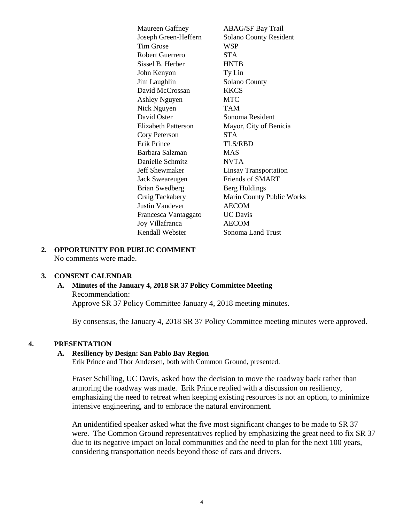Maureen Gaffney **ABAG/SF Bay Trail** Joseph Green-Heffern Solano County Resident Tim Grose WSP Robert Guerrero STA Sissel B. Herber HNTB John Kenyon Ty Lin Jim Laughlin Solano County David McCrossan KKCS Ashley Nguyen MTC Nick Nguyen TAM David Oster Sonoma Resident Elizabeth Patterson Mayor, City of Benicia Cory Peterson STA Erik Prince TLS/RBD Barbara Salzman MAS Danielle Schmitz NVTA Jeff Shewmaker Linsay Transportation Jack Sweareugen Friends of SMART Brian Swedberg Berg Holdings Craig Tackabery Marin County Public Works Justin Vandever AECOM Francesca Vantaggato UC Davis Joy Villafranca AECOM Kendall Webster Sonoma Land Trust

### **2. OPPORTUNITY FOR PUBLIC COMMENT** No comments were made.

#### **3. CONSENT CALENDAR**

**A. Minutes of the January 4, 2018 SR 37 Policy Committee Meeting**  Recommendation: Approve SR 37 Policy Committee January 4, 2018 meeting minutes.

By consensus, the January 4, 2018 SR 37 Policy Committee meeting minutes were approved.

#### **4. PRESENTATION**

#### **A. Resiliency by Design: San Pablo Bay Region**

Erik Prince and Thor Andersen, both with Common Ground, presented.

Fraser Schilling, UC Davis, asked how the decision to move the roadway back rather than armoring the roadway was made. Erik Prince replied with a discussion on resiliency, emphasizing the need to retreat when keeping existing resources is not an option, to minimize intensive engineering, and to embrace the natural environment.

An unidentified speaker asked what the five most significant changes to be made to SR 37 were. The Common Ground representatives replied by emphasizing the great need to fix SR 37 due to its negative impact on local communities and the need to plan for the next 100 years, considering transportation needs beyond those of cars and drivers.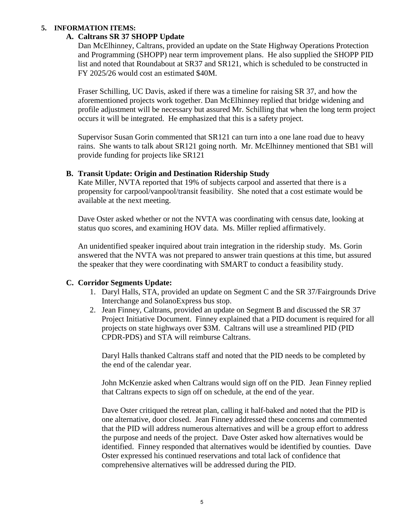### **5. INFORMATION ITEMS:**

### **A. Caltrans SR 37 SHOPP Update**

Dan McElhinney, Caltrans, provided an update on the State Highway Operations Protection and Programming (SHOPP) near term improvement plans. He also supplied the SHOPP PID list and noted that Roundabout at SR37 and SR121, which is scheduled to be constructed in FY 2025/26 would cost an estimated \$40M.

Fraser Schilling, UC Davis, asked if there was a timeline for raising SR 37, and how the aforementioned projects work together. Dan McElhinney replied that bridge widening and profile adjustment will be necessary but assured Mr. Schilling that when the long term project occurs it will be integrated. He emphasized that this is a safety project.

Supervisor Susan Gorin commented that SR121 can turn into a one lane road due to heavy rains. She wants to talk about SR121 going north. Mr. McElhinney mentioned that SB1 will provide funding for projects like SR121

#### **B. Transit Update: Origin and Destination Ridership Study**

Kate Miller, NVTA reported that 19% of subjects carpool and asserted that there is a propensity for carpool/vanpool/transit feasibility. She noted that a cost estimate would be available at the next meeting.

Dave Oster asked whether or not the NVTA was coordinating with census date, looking at status quo scores, and examining HOV data. Ms. Miller replied affirmatively.

An unidentified speaker inquired about train integration in the ridership study. Ms. Gorin answered that the NVTA was not prepared to answer train questions at this time, but assured the speaker that they were coordinating with SMART to conduct a feasibility study.

### **C. Corridor Segments Update:**

- 1. Daryl Halls, STA, provided an update on Segment C and the SR 37/Fairgrounds Drive Interchange and SolanoExpress bus stop.
- 2. Jean Finney, Caltrans, provided an update on Segment B and discussed the SR 37 Project Initiative Document. Finney explained that a PID document is required for all projects on state highways over \$3M. Caltrans will use a streamlined PID (PID CPDR-PDS) and STA will reimburse Caltrans.

Daryl Halls thanked Caltrans staff and noted that the PID needs to be completed by the end of the calendar year.

John McKenzie asked when Caltrans would sign off on the PID. Jean Finney replied that Caltrans expects to sign off on schedule, at the end of the year.

Dave Oster critiqued the retreat plan, calling it half-baked and noted that the PID is one alternative, door closed. Jean Finney addressed these concerns and commented that the PID will address numerous alternatives and will be a group effort to address the purpose and needs of the project. Dave Oster asked how alternatives would be identified. Finney responded that alternatives would be identified by counties. Dave Oster expressed his continued reservations and total lack of confidence that comprehensive alternatives will be addressed during the PID.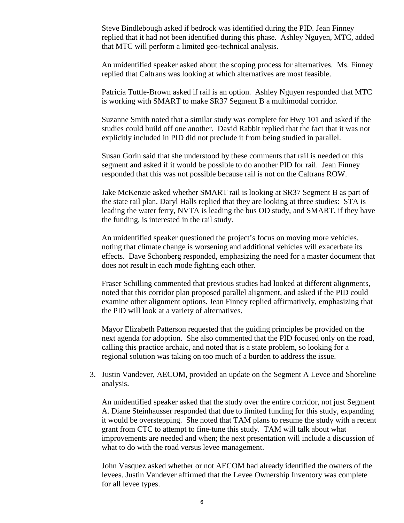Steve Bindlebough asked if bedrock was identified during the PID. Jean Finney replied that it had not been identified during this phase. Ashley Nguyen, MTC, added that MTC will perform a limited geo-technical analysis.

An unidentified speaker asked about the scoping process for alternatives. Ms. Finney replied that Caltrans was looking at which alternatives are most feasible.

Patricia Tuttle-Brown asked if rail is an option. Ashley Nguyen responded that MTC is working with SMART to make SR37 Segment B a multimodal corridor.

Suzanne Smith noted that a similar study was complete for Hwy 101 and asked if the studies could build off one another. David Rabbit replied that the fact that it was not explicitly included in PID did not preclude it from being studied in parallel.

Susan Gorin said that she understood by these comments that rail is needed on this segment and asked if it would be possible to do another PID for rail. Jean Finney responded that this was not possible because rail is not on the Caltrans ROW.

Jake McKenzie asked whether SMART rail is looking at SR37 Segment B as part of the state rail plan. Daryl Halls replied that they are looking at three studies: STA is leading the water ferry, NVTA is leading the bus OD study, and SMART, if they have the funding, is interested in the rail study.

An unidentified speaker questioned the project's focus on moving more vehicles, noting that climate change is worsening and additional vehicles will exacerbate its effects. Dave Schonberg responded, emphasizing the need for a master document that does not result in each mode fighting each other.

Fraser Schilling commented that previous studies had looked at different alignments, noted that this corridor plan proposed parallel alignment, and asked if the PID could examine other alignment options. Jean Finney replied affirmatively, emphasizing that the PID will look at a variety of alternatives.

Mayor Elizabeth Patterson requested that the guiding principles be provided on the next agenda for adoption. She also commented that the PID focused only on the road, calling this practice archaic, and noted that is a state problem, so looking for a regional solution was taking on too much of a burden to address the issue.

3. Justin Vandever, AECOM, provided an update on the Segment A Levee and Shoreline analysis.

An unidentified speaker asked that the study over the entire corridor, not just Segment A. Diane Steinhausser responded that due to limited funding for this study, expanding it would be overstepping. She noted that TAM plans to resume the study with a recent grant from CTC to attempt to fine-tune this study. TAM will talk about what improvements are needed and when; the next presentation will include a discussion of what to do with the road versus levee management.

John Vasquez asked whether or not AECOM had already identified the owners of the levees. Justin Vandever affirmed that the Levee Ownership Inventory was complete for all levee types.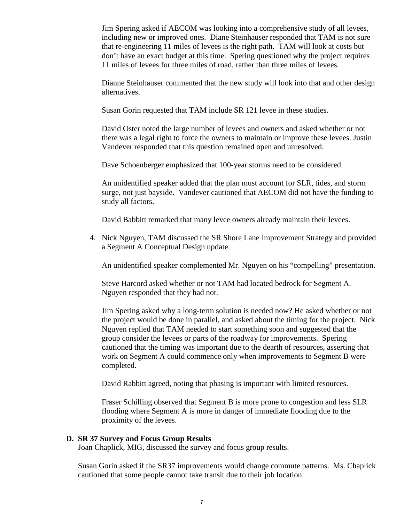Jim Spering asked if AECOM was looking into a comprehensive study of all levees, including new or improved ones. Diane Steinhauser responded that TAM is not sure that re-engineering 11 miles of levees is the right path. TAM will look at costs but don't have an exact budget at this time. Spering questioned why the project requires 11 miles of levees for three miles of road, rather than three miles of levees.

Dianne Steinhauser commented that the new study will look into that and other design alternatives.

Susan Gorin requested that TAM include SR 121 levee in these studies.

David Oster noted the large number of levees and owners and asked whether or not there was a legal right to force the owners to maintain or improve these levees. Justin Vandever responded that this question remained open and unresolved.

Dave Schoenberger emphasized that 100-year storms need to be considered.

An unidentified speaker added that the plan must account for SLR, tides, and storm surge, not just bayside. Vandever cautioned that AECOM did not have the funding to study all factors.

David Babbitt remarked that many levee owners already maintain their levees.

4. Nick Nguyen, TAM discussed the SR Shore Lane Improvement Strategy and provided a Segment A Conceptual Design update.

An unidentified speaker complemented Mr. Nguyen on his "compelling" presentation.

Steve Harcord asked whether or not TAM had located bedrock for Segment A. Nguyen responded that they had not.

Jim Spering asked why a long-term solution is needed now? He asked whether or not the project would be done in parallel, and asked about the timing for the project. Nick Nguyen replied that TAM needed to start something soon and suggested that the group consider the levees or parts of the roadway for improvements. Spering cautioned that the timing was important due to the dearth of resources, asserting that work on Segment A could commence only when improvements to Segment B were completed.

David Rabbitt agreed, noting that phasing is important with limited resources.

Fraser Schilling observed that Segment B is more prone to congestion and less SLR flooding where Segment A is more in danger of immediate flooding due to the proximity of the levees.

### **D. SR 37 Survey and Focus Group Results**

Joan Chaplick, MIG, discussed the survey and focus group results.

Susan Gorin asked if the SR37 improvements would change commute patterns. Ms. Chaplick cautioned that some people cannot take transit due to their job location.